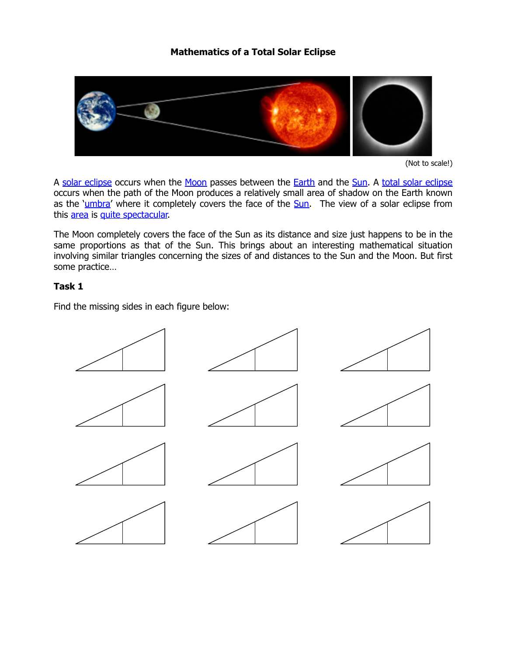# **Mathematics of a Total Solar Eclipse**



<sup>(</sup>Not to scale!)

A [solar eclipse](http://en.wikipedia.org/wiki/Solar_eclipse) occurs when the [Moon](http://en.wikipedia.org/wiki/Moon) passes between the **Earth** and the [Sun.](http://en.wikipedia.org/wiki/Sun) A [total solar eclipse](http://csep10.phys.utk.edu/astr161/lect/time/eclipses.html) occurs when the path of the Moon produces a relatively small area of shadow on the Earth known as the '[umbra'](http://en.wikipedia.org/wiki/Umbra) where it completely covers the face of the [Sun.](http://sohowww.nascom.nasa.gov/) The view of a solar eclipse from this [area](http://eclipse.gsfc.nasa.gov/solar.html) is [quite spectacular.](http://www.youtube.com/watch?v=cgtdk9Fq0AQ)

The Moon completely covers the face of the Sun as its distance and size just happens to be in the same proportions as that of the Sun. This brings about an interesting mathematical situation involving similar triangles concerning the sizes of and distances to the Sun and the Moon. But first some practice…

#### **Task 1**

Find the missing sides in each figure below:

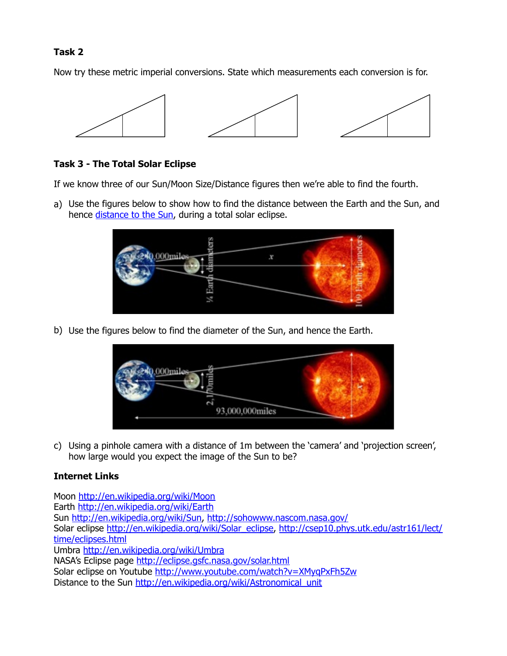## **Task 2**

Now try these metric imperial conversions. State which measurements each conversion is for.



### **Task 3 - The Total Solar Eclipse**

If we know three of our Sun/Moon Size/Distance figures then we're able to find the fourth.

a) Use the figures below to show how to find the distance between the Earth and the Sun, and hence [distance to the Sun](http://en.wikipedia.org/wiki/Astronomical_unit), during a total solar eclipse.



b) Use the figures below to find the diameter of the Sun, and hence the Earth.



c) Using a pinhole camera with a distance of 1m between the 'camera' and 'projection screen', how large would you expect the image of the Sun to be?

# **Internet Links**

Moon <http://en.wikipedia.org/wiki/Moon> Earth<http://en.wikipedia.org/wiki/Earth> Sun [http://en.wikipedia.org/wiki/Sun,](http://en.wikipedia.org/wiki/Sun) <http://sohowww.nascom.nasa.gov/> [Solar eclipse h](http://csep10.phys.utk.edu/astr161/lect/time/eclipses.html)[ttp://en.wikipedia.org/wiki/Solar\\_eclipse](http://en.wikipedia.org/wiki/Solar_eclipse)[, http://csep10.phys.utk.edu/astr161/lect/](http://csep10.phys.utk.edu/astr161/lect/time/eclipses.html) time/eclipses.html Umbra <http://en.wikipedia.org/wiki/Umbra> NASA's Eclipse page <http://eclipse.gsfc.nasa.gov/solar.html> Solar eclipse on Youtube http://www.youtube.com/watch?v=XMyqPxFh5Zw Distance to the Sun http://en.wikipedia.org/wiki/Astronomical\_unit